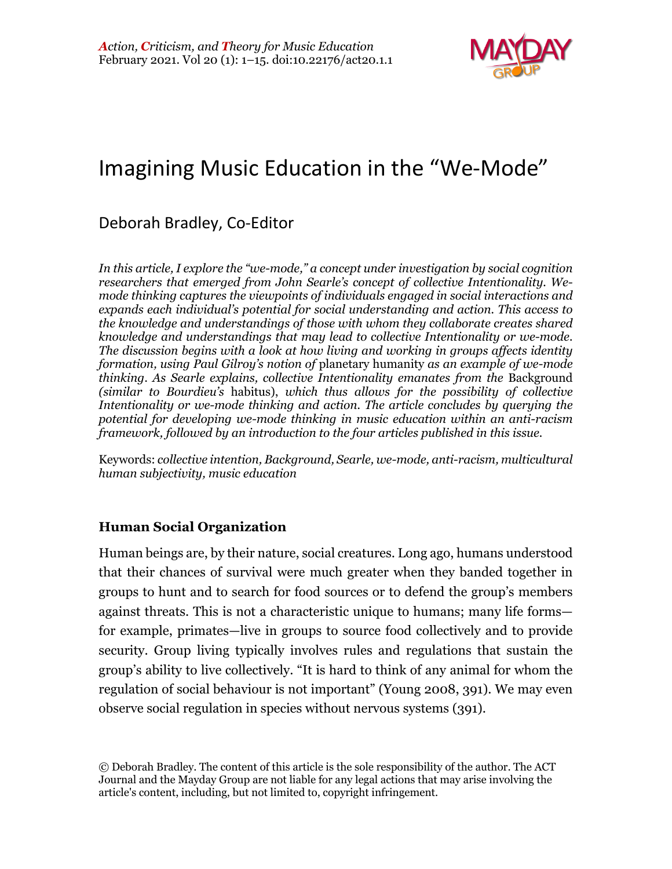

# Imagining Music Education in the "We-Mode"

# Deborah Bradley, Co-Editor

*In this article, I explore the "we-mode," a concept under investigation by social cognition researchers that emerged from John Searle's concept of collective Intentionality. Wemode thinking captures the viewpoints of individuals engaged in social interactions and expands each individual's potential for social understanding and action. This access to the knowledge and understandings of those with whom they collaborate creates shared knowledge and understandings that may lead to collective Intentionality or we-mode. The discussion begins with a look at how living and working in groups affects identity formation, using Paul Gilroy's notion of* planetary humanity *as an example of we-mode thinking*. *As Searle explains, collective Intentionality emanates from the* Background *(similar to Bourdieu's* habitus), *which thus allows for the possibility of collective Intentionality or we-mode thinking and action. The article concludes by querying the potential for developing we-mode thinking in music education within an anti-racism framework, followed by an introduction to the four articles published in this issue.*

Keywords: *collective intention, Background, Searle, we-mode, anti-racism, multicultural human subjectivity, music education*

# **Human Social Organization**

Human beings are, by their nature, social creatures. Long ago, humans understood that their chances of survival were much greater when they banded together in groups to hunt and to search for food sources or to defend the group's members against threats. This is not a characteristic unique to humans; many life forms for example, primates—live in groups to source food collectively and to provide security. Group living typically involves rules and regulations that sustain the group's ability to live collectively. "It is hard to think of any animal for whom the regulation of social behaviour is not important" (Young 2008, 391). We may even observe social regulation in species without nervous systems (391).

<sup>©</sup> Deborah Bradley. The content of this article is the sole responsibility of the author. The ACT Journal and the Mayday Group are not liable for any legal actions that may arise involving the article's content, including, but not limited to, copyright infringement.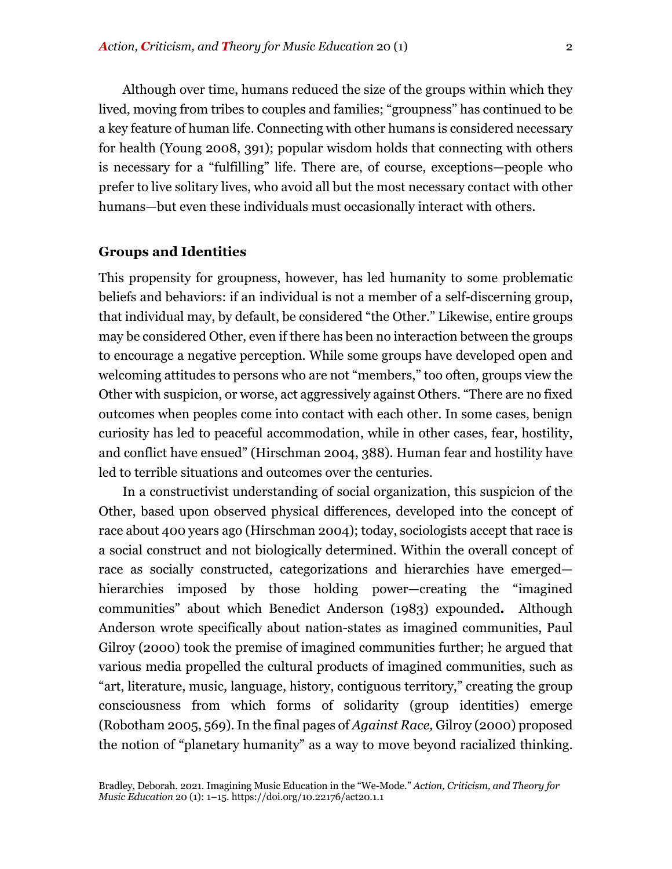Although over time, humans reduced the size of the groups within which they lived, moving from tribes to couples and families; "groupness" has continued to be a key feature of human life. Connecting with other humans is considered necessary for health (Young 2008, 391); popular wisdom holds that connecting with others is necessary for a "fulfilling" life. There are, of course, exceptions—people who prefer to live solitary lives, who avoid all but the most necessary contact with other humans—but even these individuals must occasionally interact with others.

### **Groups and Identities**

This propensity for groupness, however, has led humanity to some problematic beliefs and behaviors: if an individual is not a member of a self-discerning group, that individual may, by default, be considered "the Other." Likewise, entire groups may be considered Other, even if there has been no interaction between the groups to encourage a negative perception. While some groups have developed open and welcoming attitudes to persons who are not "members," too often, groups view the Other with suspicion, or worse, act aggressively against Others. "There are no fixed outcomes when peoples come into contact with each other. In some cases, benign curiosity has led to peaceful accommodation, while in other cases, fear, hostility, and conflict have ensued" (Hirschman 2004, 388). Human fear and hostility have led to terrible situations and outcomes over the centuries.

In a constructivist understanding of social organization, this suspicion of the Other, based upon observed physical differences, developed into the concept of race about 400 years ago (Hirschman 2004); today, sociologists accept that race is a social construct and not biologically determined. Within the overall concept of race as socially constructed, categorizations and hierarchies have emerged hierarchies imposed by those holding power—creating the "imagined communities" about which Benedict Anderson (1983) expounded**.** Although Anderson wrote specifically about nation-states as imagined communities, Paul Gilroy (2000) took the premise of imagined communities further; he argued that various media propelled the cultural products of imagined communities, such as "art, literature, music, language, history, contiguous territory," creating the group consciousness from which forms of solidarity (group identities) emerge (Robotham 2005, 569). In the final pages of *Against Race,* Gilroy (2000) proposed the notion of "planetary humanity" as a way to move beyond racialized thinking.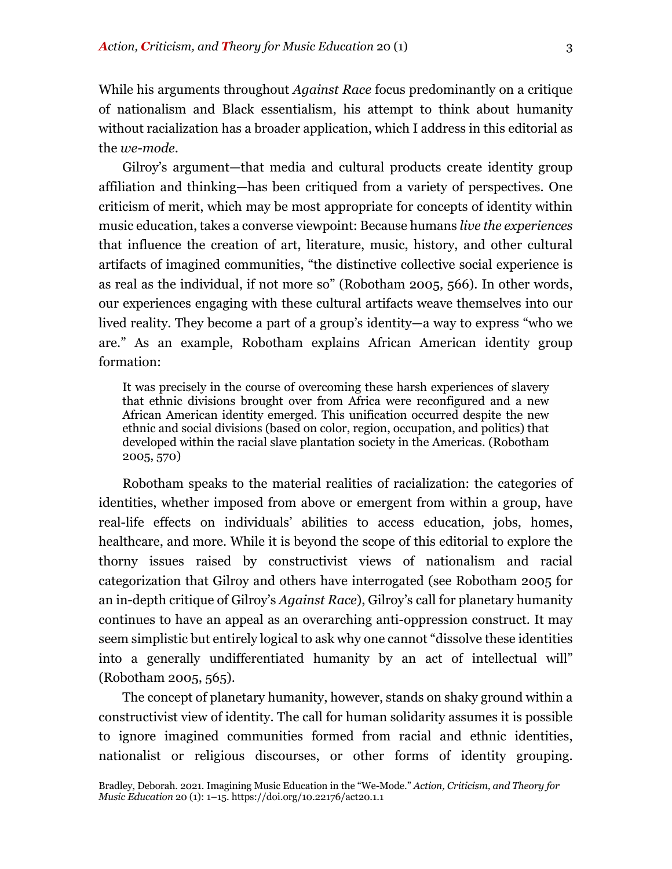While his arguments throughout *Against Race* focus predominantly on a critique of nationalism and Black essentialism, his attempt to think about humanity without racialization has a broader application, which I address in this editorial as the *we-mode*.

Gilroy's argument—that media and cultural products create identity group affiliation and thinking—has been critiqued from a variety of perspectives. One criticism of merit, which may be most appropriate for concepts of identity within music education, takes a converse viewpoint: Because humans *live the experiences* that influence the creation of art, literature, music, history, and other cultural artifacts of imagined communities, "the distinctive collective social experience is as real as the individual, if not more so" (Robotham 2005, 566). In other words, our experiences engaging with these cultural artifacts weave themselves into our lived reality. They become a part of a group's identity—a way to express "who we are." As an example, Robotham explains African American identity group formation:

It was precisely in the course of overcoming these harsh experiences of slavery that ethnic divisions brought over from Africa were reconfigured and a new African American identity emerged. This unification occurred despite the new ethnic and social divisions (based on color, region, occupation, and politics) that developed within the racial slave plantation society in the Americas. (Robotham 2005, 570)

Robotham speaks to the material realities of racialization: the categories of identities, whether imposed from above or emergent from within a group, have real-life effects on individuals' abilities to access education, jobs, homes, healthcare, and more. While it is beyond the scope of this editorial to explore the thorny issues raised by constructivist views of nationalism and racial categorization that Gilroy and others have interrogated (see Robotham 2005 for an in-depth critique of Gilroy's *Against Race*), Gilroy's call for planetary humanity continues to have an appeal as an overarching anti-oppression construct. It may seem simplistic but entirely logical to ask why one cannot "dissolve these identities into a generally undifferentiated humanity by an act of intellectual will" (Robotham 2005, 565).

The concept of planetary humanity, however, stands on shaky ground within a constructivist view of identity. The call for human solidarity assumes it is possible to ignore imagined communities formed from racial and ethnic identities, nationalist or religious discourses, or other forms of identity grouping.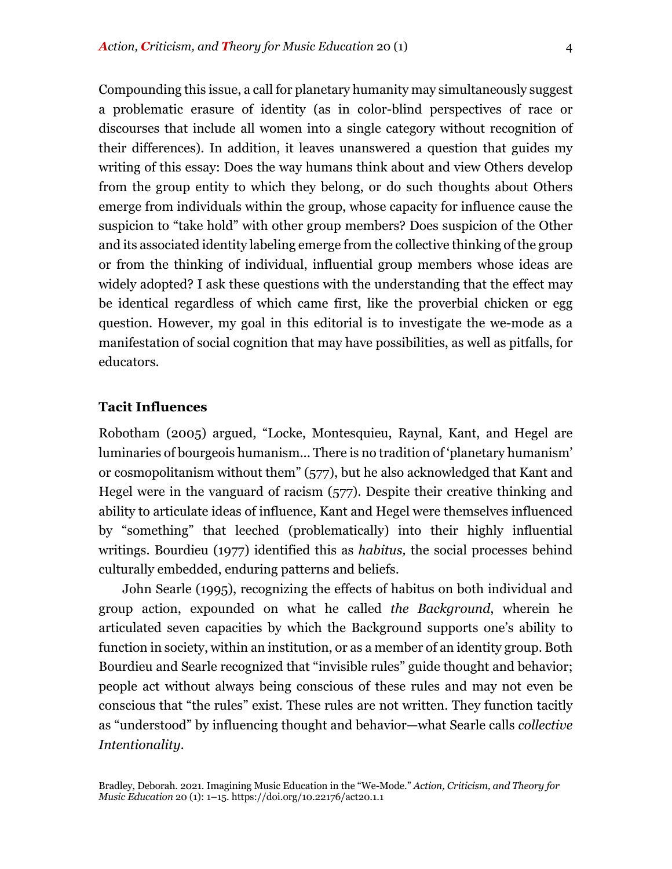Compounding this issue, a call for planetary humanity may simultaneously suggest a problematic erasure of identity (as in color-blind perspectives of race or discourses that include all women into a single category without recognition of their differences). In addition, it leaves unanswered a question that guides my writing of this essay: Does the way humans think about and view Others develop from the group entity to which they belong, or do such thoughts about Others emerge from individuals within the group, whose capacity for influence cause the suspicion to "take hold" with other group members? Does suspicion of the Other and its associated identity labeling emerge from the collective thinking of the group or from the thinking of individual, influential group members whose ideas are widely adopted? I ask these questions with the understanding that the effect may be identical regardless of which came first, like the proverbial chicken or egg question. However, my goal in this editorial is to investigate the we-mode as a manifestation of social cognition that may have possibilities, as well as pitfalls, for educators.

## **Tacit Influences**

Robotham (2005) argued, "Locke, Montesquieu, Raynal, Kant, and Hegel are luminaries of bourgeois humanism... There is no tradition of 'planetary humanism' or cosmopolitanism without them" (577), but he also acknowledged that Kant and Hegel were in the vanguard of racism (577). Despite their creative thinking and ability to articulate ideas of influence, Kant and Hegel were themselves influenced by "something" that leeched (problematically) into their highly influential writings. Bourdieu (1977) identified this as *habitus,* the social processes behind culturally embedded, enduring patterns and beliefs.

John Searle (1995), recognizing the effects of habitus on both individual and group action, expounded on what he called *the Background*, wherein he articulated seven capacities by which the Background supports one's ability to function in society, within an institution, or as a member of an identity group. Both Bourdieu and Searle recognized that "invisible rules" guide thought and behavior; people act without always being conscious of these rules and may not even be conscious that "the rules" exist. These rules are not written. They function tacitly as "understood" by influencing thought and behavior—what Searle calls *collective Intentionality.*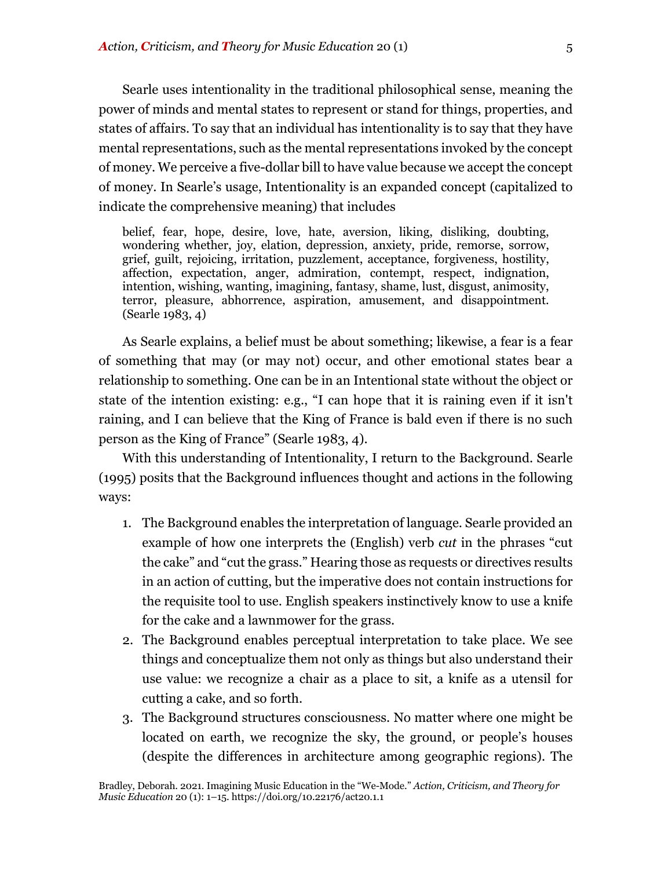Searle uses intentionality in the traditional philosophical sense, meaning the power of minds and mental states to represent or stand for things, properties, and states of affairs. To say that an individual has intentionality is to say that they have mental representations, such as the mental representations invoked by the concept of money. We perceive a five-dollar bill to have value because we accept the concept of money. In Searle's usage, Intentionality is an expanded concept (capitalized to indicate the comprehensive meaning) that includes

belief, fear, hope, desire, love, hate, aversion, liking, disliking, doubting, wondering whether, joy, elation, depression, anxiety, pride, remorse, sorrow, grief, guilt, rejoicing, irritation, puzzlement, acceptance, forgiveness, hostility, affection, expectation, anger, admiration, contempt, respect, indignation, intention, wishing, wanting, imagining, fantasy, shame, lust, disgust, animosity, terror, pleasure, abhorrence, aspiration, amusement, and disappointment. (Searle 1983, 4)

As Searle explains, a belief must be about something; likewise, a fear is a fear of something that may (or may not) occur, and other emotional states bear a relationship to something. One can be in an Intentional state without the object or state of the intention existing: e.g., "I can hope that it is raining even if it isn't raining, and I can believe that the King of France is bald even if there is no such person as the King of France" (Searle 1983, 4).

With this understanding of Intentionality, I return to the Background. Searle (1995) posits that the Background influences thought and actions in the following ways:

- 1. The Background enables the interpretation of language. Searle provided an example of how one interprets the (English) verb *cut* in the phrases "cut the cake" and "cut the grass." Hearing those as requests or directives results in an action of cutting, but the imperative does not contain instructions for the requisite tool to use. English speakers instinctively know to use a knife for the cake and a lawnmower for the grass.
- 2. The Background enables perceptual interpretation to take place. We see things and conceptualize them not only as things but also understand their use value: we recognize a chair as a place to sit, a knife as a utensil for cutting a cake, and so forth.
- 3. The Background structures consciousness. No matter where one might be located on earth, we recognize the sky, the ground, or people's houses (despite the differences in architecture among geographic regions). The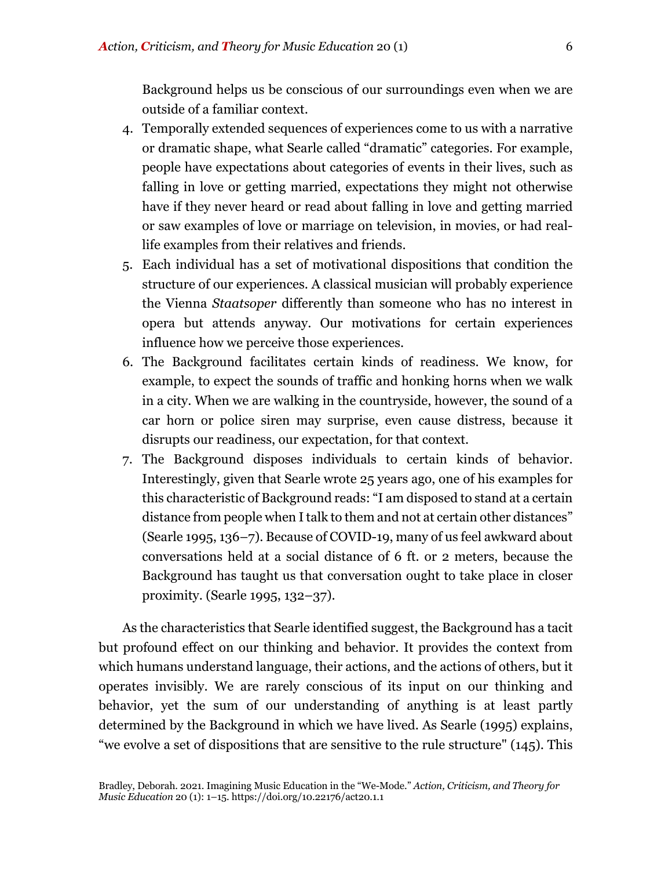Background helps us be conscious of our surroundings even when we are outside of a familiar context.

- 4. Temporally extended sequences of experiences come to us with a narrative or dramatic shape, what Searle called "dramatic" categories. For example, people have expectations about categories of events in their lives, such as falling in love or getting married, expectations they might not otherwise have if they never heard or read about falling in love and getting married or saw examples of love or marriage on television, in movies, or had reallife examples from their relatives and friends.
- 5. Each individual has a set of motivational dispositions that condition the structure of our experiences. A classical musician will probably experience the Vienna *Staatsoper* differently than someone who has no interest in opera but attends anyway. Our motivations for certain experiences influence how we perceive those experiences.
- 6. The Background facilitates certain kinds of readiness. We know, for example, to expect the sounds of traffic and honking horns when we walk in a city. When we are walking in the countryside, however, the sound of a car horn or police siren may surprise, even cause distress, because it disrupts our readiness, our expectation, for that context.
- 7. The Background disposes individuals to certain kinds of behavior. Interestingly, given that Searle wrote 25 years ago, one of his examples for this characteristic of Background reads: "I am disposed to stand at a certain distance from people when I talk to them and not at certain other distances" (Searle 1995, 136–7). Because of COVID-19, many of us feel awkward about conversations held at a social distance of 6 ft. or 2 meters, because the Background has taught us that conversation ought to take place in closer proximity. (Searle 1995, 132–37).

As the characteristics that Searle identified suggest, the Background has a tacit but profound effect on our thinking and behavior. It provides the context from which humans understand language, their actions, and the actions of others, but it operates invisibly. We are rarely conscious of its input on our thinking and behavior, yet the sum of our understanding of anything is at least partly determined by the Background in which we have lived. As Searle (1995) explains, "we evolve a set of dispositions that are sensitive to the rule structure" (145). This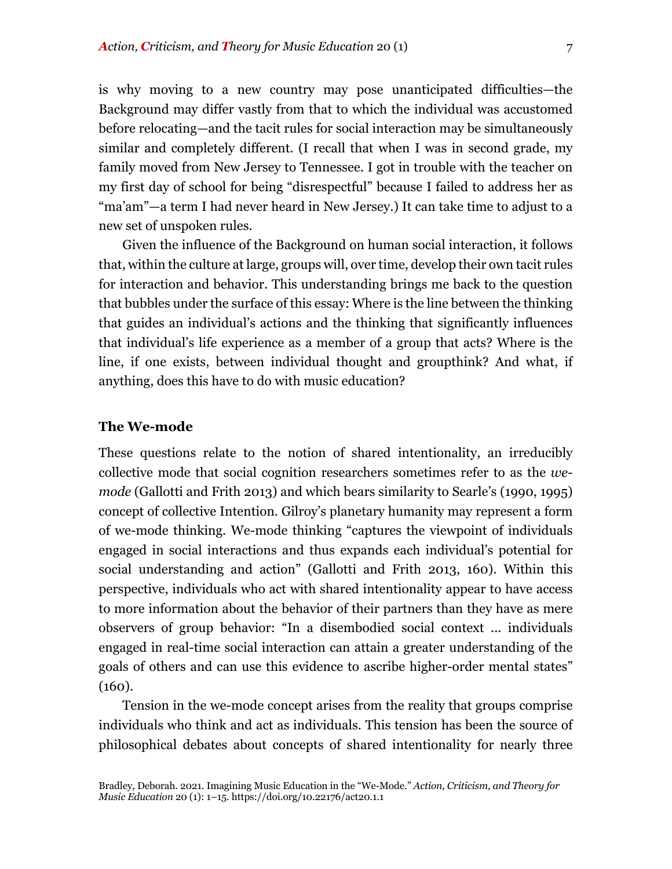is why moving to a new country may pose unanticipated difficulties—the Background may differ vastly from that to which the individual was accustomed before relocating—and the tacit rules for social interaction may be simultaneously similar and completely different. (I recall that when I was in second grade, my family moved from New Jersey to Tennessee. I got in trouble with the teacher on my first day of school for being "disrespectful" because I failed to address her as "ma'am"—a term I had never heard in New Jersey.) It can take time to adjust to a new set of unspoken rules.

Given the influence of the Background on human social interaction, it follows that, within the culture at large, groups will, over time, develop their own tacit rules for interaction and behavior. This understanding brings me back to the question that bubbles under the surface of this essay: Where is the line between the thinking that guides an individual's actions and the thinking that significantly influences that individual's life experience as a member of a group that acts? Where is the line, if one exists, between individual thought and groupthink? And what, if anything, does this have to do with music education?

#### **The We-mode**

These questions relate to the notion of shared intentionality, an irreducibly collective mode that social cognition researchers sometimes refer to as the *wemode* (Gallotti and Frith 2013) and which bears similarity to Searle's (1990, 1995) concept of collective Intention. Gilroy's planetary humanity may represent a form of we-mode thinking. We-mode thinking "captures the viewpoint of individuals engaged in social interactions and thus expands each individual's potential for social understanding and action" (Gallotti and Frith 2013, 160). Within this perspective, individuals who act with shared intentionality appear to have access to more information about the behavior of their partners than they have as mere observers of group behavior: "In a disembodied social context ... individuals engaged in real-time social interaction can attain a greater understanding of the goals of others and can use this evidence to ascribe higher-order mental states" (160).

Tension in the we-mode concept arises from the reality that groups comprise individuals who think and act as individuals. This tension has been the source of philosophical debates about concepts of shared intentionality for nearly three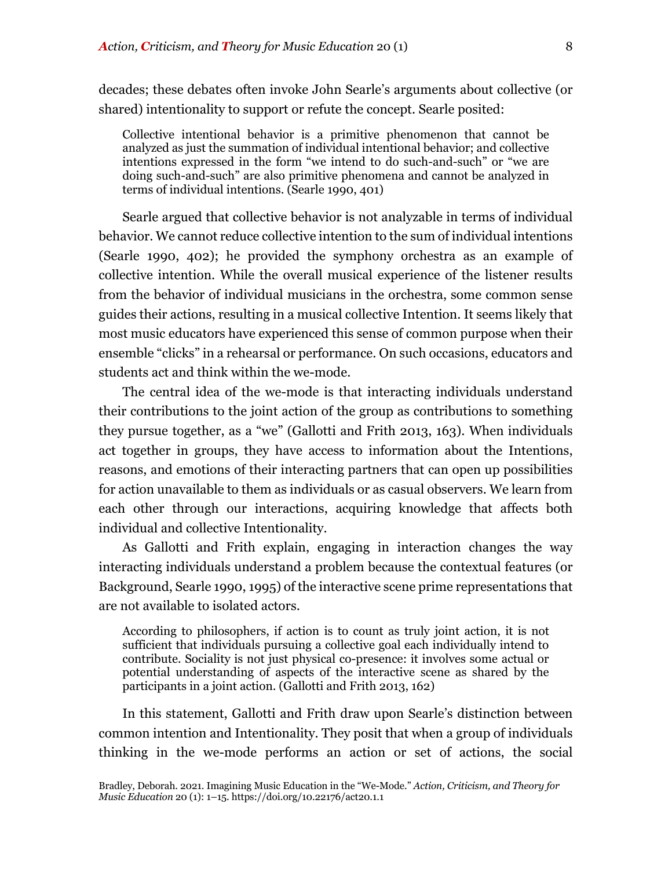decades; these debates often invoke John Searle's arguments about collective (or shared) intentionality to support or refute the concept. Searle posited:

Collective intentional behavior is a primitive phenomenon that cannot be analyzed as just the summation of individual intentional behavior; and collective intentions expressed in the form "we intend to do such-and-such" or "we are doing such-and-such" are also primitive phenomena and cannot be analyzed in terms of individual intentions. (Searle 1990, 401)

Searle argued that collective behavior is not analyzable in terms of individual behavior. We cannot reduce collective intention to the sum of individual intentions (Searle 1990, 402); he provided the symphony orchestra as an example of collective intention. While the overall musical experience of the listener results from the behavior of individual musicians in the orchestra, some common sense guides their actions, resulting in a musical collective Intention. It seems likely that most music educators have experienced this sense of common purpose when their ensemble "clicks" in a rehearsal or performance. On such occasions, educators and students act and think within the we-mode.

The central idea of the we-mode is that interacting individuals understand their contributions to the joint action of the group as contributions to something they pursue together, as a "we" (Gallotti and Frith 2013, 163). When individuals act together in groups, they have access to information about the Intentions, reasons, and emotions of their interacting partners that can open up possibilities for action unavailable to them as individuals or as casual observers. We learn from each other through our interactions, acquiring knowledge that affects both individual and collective Intentionality.

As Gallotti and Frith explain, engaging in interaction changes the way interacting individuals understand a problem because the contextual features (or Background, Searle 1990, 1995) of the interactive scene prime representations that are not available to isolated actors.

According to philosophers, if action is to count as truly joint action, it is not sufficient that individuals pursuing a collective goal each individually intend to contribute. Sociality is not just physical co-presence: it involves some actual or potential understanding of aspects of the interactive scene as shared by the participants in a joint action. (Gallotti and Frith 2013, 162)

In this statement, Gallotti and Frith draw upon Searle's distinction between common intention and Intentionality. They posit that when a group of individuals thinking in the we-mode performs an action or set of actions, the social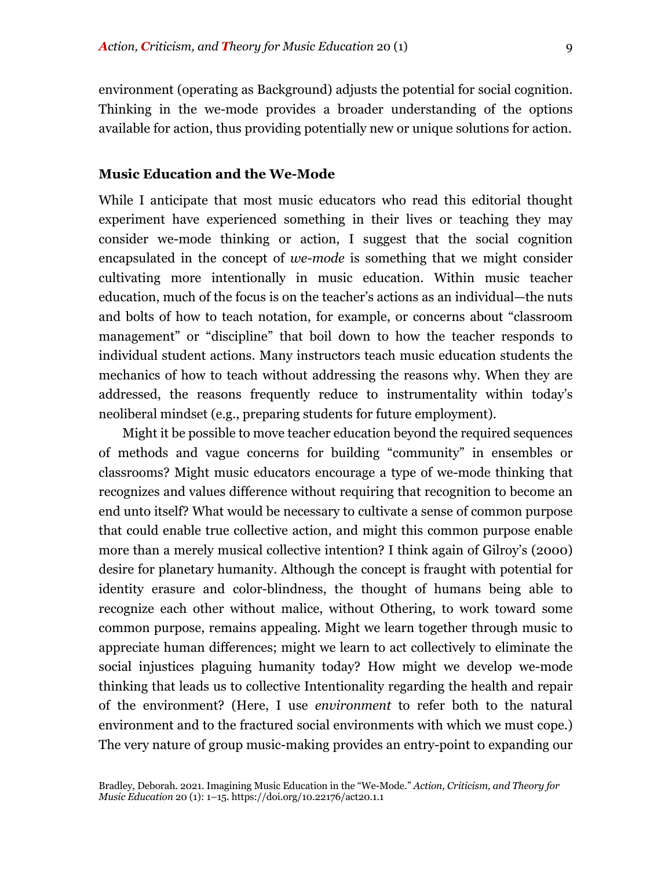environment (operating as Background) adjusts the potential for social cognition. Thinking in the we-mode provides a broader understanding of the options available for action, thus providing potentially new or unique solutions for action.

#### **Music Education and the We-Mode**

While I anticipate that most music educators who read this editorial thought experiment have experienced something in their lives or teaching they may consider we-mode thinking or action, I suggest that the social cognition encapsulated in the concept of *we-mode* is something that we might consider cultivating more intentionally in music education. Within music teacher education, much of the focus is on the teacher's actions as an individual—the nuts and bolts of how to teach notation, for example, or concerns about "classroom management" or "discipline" that boil down to how the teacher responds to individual student actions. Many instructors teach music education students the mechanics of how to teach without addressing the reasons why. When they are addressed, the reasons frequently reduce to instrumentality within today's neoliberal mindset (e.g., preparing students for future employment).

Might it be possible to move teacher education beyond the required sequences of methods and vague concerns for building "community" in ensembles or classrooms? Might music educators encourage a type of we-mode thinking that recognizes and values difference without requiring that recognition to become an end unto itself? What would be necessary to cultivate a sense of common purpose that could enable true collective action, and might this common purpose enable more than a merely musical collective intention? I think again of Gilroy's (2000) desire for planetary humanity. Although the concept is fraught with potential for identity erasure and color-blindness, the thought of humans being able to recognize each other without malice, without Othering, to work toward some common purpose, remains appealing. Might we learn together through music to appreciate human differences; might we learn to act collectively to eliminate the social injustices plaguing humanity today? How might we develop we-mode thinking that leads us to collective Intentionality regarding the health and repair of the environment? (Here, I use *environment* to refer both to the natural environment and to the fractured social environments with which we must cope.) The very nature of group music-making provides an entry-point to expanding our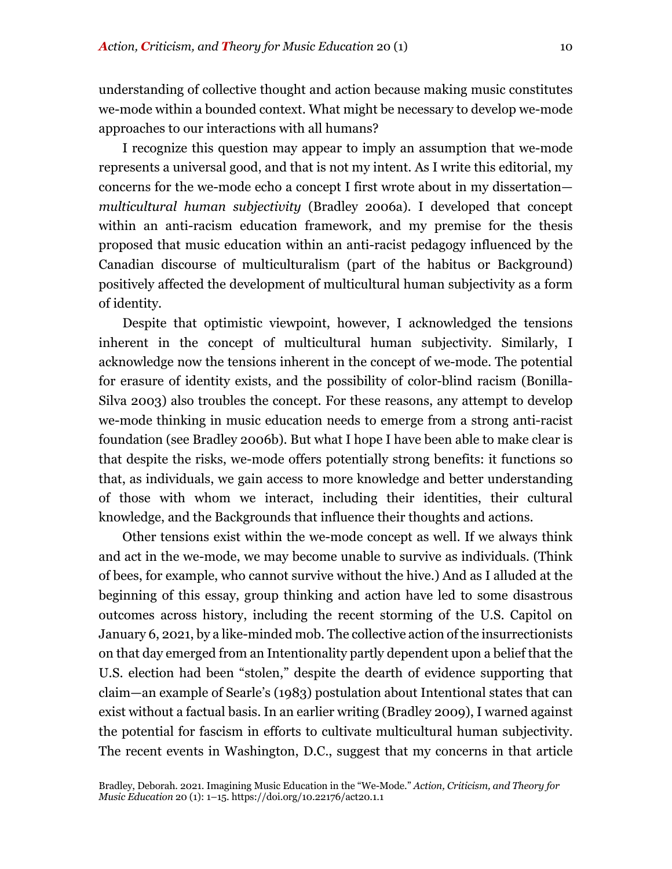understanding of collective thought and action because making music constitutes we-mode within a bounded context. What might be necessary to develop we-mode approaches to our interactions with all humans?

I recognize this question may appear to imply an assumption that we-mode represents a universal good, and that is not my intent. As I write this editorial, my concerns for the we-mode echo a concept I first wrote about in my dissertation *multicultural human subjectivity* (Bradley 2006a). I developed that concept within an anti-racism education framework, and my premise for the thesis proposed that music education within an anti-racist pedagogy influenced by the Canadian discourse of multiculturalism (part of the habitus or Background) positively affected the development of multicultural human subjectivity as a form of identity.

Despite that optimistic viewpoint, however, I acknowledged the tensions inherent in the concept of multicultural human subjectivity. Similarly, I acknowledge now the tensions inherent in the concept of we-mode. The potential for erasure of identity exists, and the possibility of color-blind racism (Bonilla-Silva 2003) also troubles the concept. For these reasons, any attempt to develop we-mode thinking in music education needs to emerge from a strong anti-racist foundation (see Bradley 2006b). But what I hope I have been able to make clear is that despite the risks, we-mode offers potentially strong benefits: it functions so that, as individuals, we gain access to more knowledge and better understanding of those with whom we interact, including their identities, their cultural knowledge, and the Backgrounds that influence their thoughts and actions.

Other tensions exist within the we-mode concept as well. If we always think and act in the we-mode, we may become unable to survive as individuals. (Think of bees, for example, who cannot survive without the hive.) And as I alluded at the beginning of this essay, group thinking and action have led to some disastrous outcomes across history, including the recent storming of the U.S. Capitol on January 6, 2021, by a like-minded mob. The collective action of the insurrectionists on that day emerged from an Intentionality partly dependent upon a belief that the U.S. election had been "stolen," despite the dearth of evidence supporting that claim—an example of Searle's (1983) postulation about Intentional states that can exist without a factual basis. In an earlier writing (Bradley 2009), I warned against the potential for fascism in efforts to cultivate multicultural human subjectivity. The recent events in Washington, D.C., suggest that my concerns in that article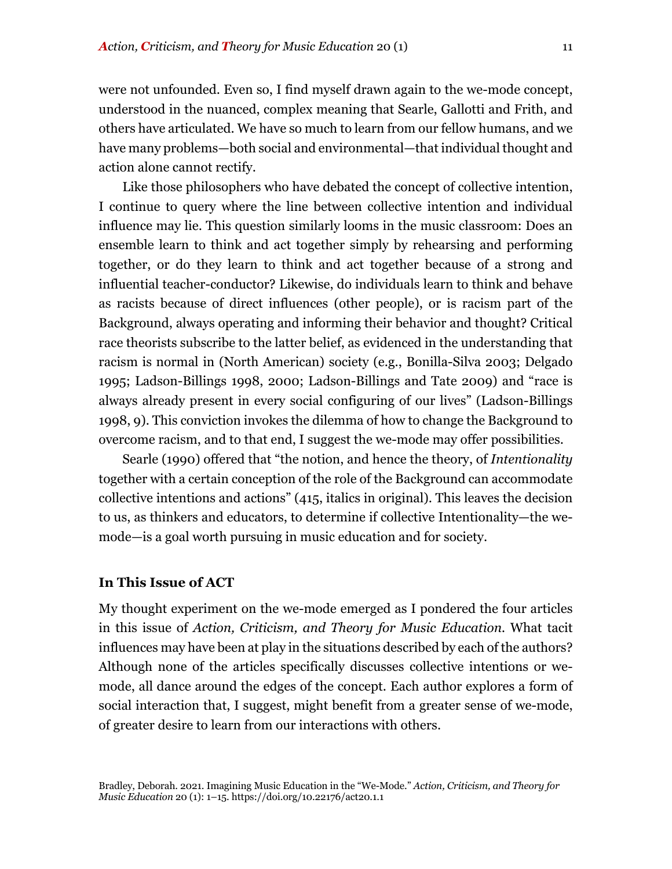were not unfounded. Even so, I find myself drawn again to the we-mode concept, understood in the nuanced, complex meaning that Searle, Gallotti and Frith, and others have articulated. We have so much to learn from our fellow humans, and we have many problems—both social and environmental—that individual thought and action alone cannot rectify.

Like those philosophers who have debated the concept of collective intention, I continue to query where the line between collective intention and individual influence may lie. This question similarly looms in the music classroom: Does an ensemble learn to think and act together simply by rehearsing and performing together, or do they learn to think and act together because of a strong and influential teacher-conductor? Likewise, do individuals learn to think and behave as racists because of direct influences (other people), or is racism part of the Background, always operating and informing their behavior and thought? Critical race theorists subscribe to the latter belief, as evidenced in the understanding that racism is normal in (North American) society (e.g., Bonilla-Silva 2003; Delgado 1995; Ladson-Billings 1998, 2000; Ladson-Billings and Tate 2009) and "race is always already present in every social configuring of our lives" (Ladson-Billings 1998, 9). This conviction invokes the dilemma of how to change the Background to overcome racism, and to that end, I suggest the we-mode may offer possibilities.

Searle (1990) offered that "the notion, and hence the theory, of *Intentionality* together with a certain conception of the role of the Background can accommodate collective intentions and actions" (415, italics in original). This leaves the decision to us, as thinkers and educators, to determine if collective Intentionality—the wemode—is a goal worth pursuing in music education and for society.

#### **In This Issue of ACT**

My thought experiment on the we-mode emerged as I pondered the four articles in this issue of *Action, Criticism, and Theory for Music Education.* What tacit influences may have been at play in the situations described by each of the authors? Although none of the articles specifically discusses collective intentions or wemode, all dance around the edges of the concept. Each author explores a form of social interaction that, I suggest, might benefit from a greater sense of we-mode, of greater desire to learn from our interactions with others.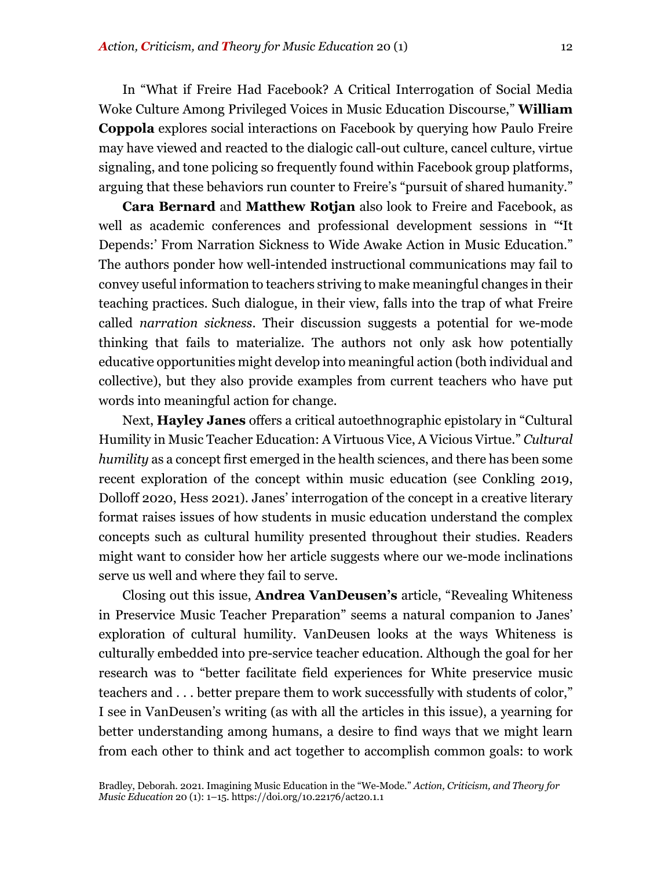In "What if Freire Had Facebook? A Critical Interrogation of Social Media Woke Culture Among Privileged Voices in Music Education Discourse," **William Coppola** explores social interactions on Facebook by querying how Paulo Freire may have viewed and reacted to the dialogic call-out culture, cancel culture, virtue signaling, and tone policing so frequently found within Facebook group platforms, arguing that these behaviors run counter to Freire's "pursuit of shared humanity."

**Cara Bernard** and **Matthew Rotjan** also look to Freire and Facebook, as well as academic conferences and professional development sessions in "**'**It Depends:' From Narration Sickness to Wide Awake Action in Music Education." The authors ponder how well-intended instructional communications may fail to convey useful information to teachers striving to make meaningful changes in their teaching practices. Such dialogue, in their view, falls into the trap of what Freire called *narration sickness*. Their discussion suggests a potential for we-mode thinking that fails to materialize. The authors not only ask how potentially educative opportunities might develop into meaningful action (both individual and collective), but they also provide examples from current teachers who have put words into meaningful action for change.

Next, **Hayley Janes** offers a critical autoethnographic epistolary in "Cultural Humility in Music Teacher Education: A Virtuous Vice, A Vicious Virtue." *Cultural humility* as a concept first emerged in the health sciences, and there has been some recent exploration of the concept within music education (see Conkling 2019, Dolloff 2020, Hess 2021). Janes' interrogation of the concept in a creative literary format raises issues of how students in music education understand the complex concepts such as cultural humility presented throughout their studies. Readers might want to consider how her article suggests where our we-mode inclinations serve us well and where they fail to serve.

Closing out this issue, **Andrea VanDeusen's** article, "Revealing Whiteness in Preservice Music Teacher Preparation" seems a natural companion to Janes' exploration of cultural humility. VanDeusen looks at the ways Whiteness is culturally embedded into pre-service teacher education. Although the goal for her research was to "better facilitate field experiences for White preservice music teachers and . . . better prepare them to work successfully with students of color," I see in VanDeusen's writing (as with all the articles in this issue), a yearning for better understanding among humans, a desire to find ways that we might learn from each other to think and act together to accomplish common goals: to work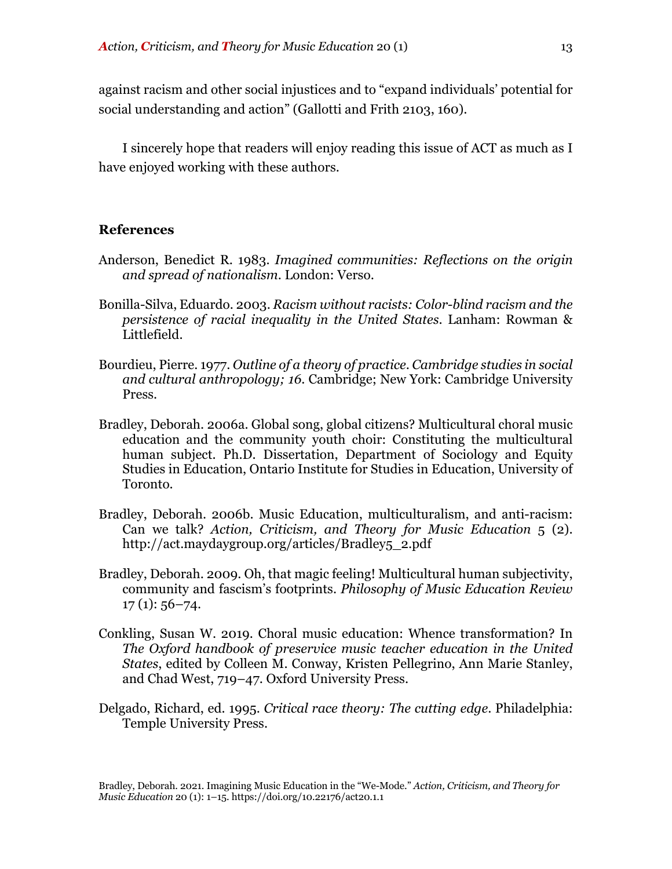against racism and other social injustices and to "expand individuals' potential for social understanding and action" (Gallotti and Frith 2103, 160).

I sincerely hope that readers will enjoy reading this issue of ACT as much as I have enjoyed working with these authors.

#### **References**

- Anderson, Benedict R. 1983. *Imagined communities: Reflections on the origin and spread of nationalism*. London: Verso.
- Bonilla-Silva, Eduardo. 2003. *Racism without racists: Color-blind racism and the persistence of racial inequality in the United States*. Lanham: Rowman & Littlefield.
- Bourdieu, Pierre. 1977. *Outline of a theory of practice*. *Cambridge studies in social and cultural anthropology; 16*. Cambridge; New York: Cambridge University Press.
- Bradley, Deborah. 2006a. Global song, global citizens? Multicultural choral music education and the community youth choir: Constituting the multicultural human subject. Ph.D. Dissertation, Department of Sociology and Equity Studies in Education, Ontario Institute for Studies in Education, University of Toronto.
- Bradley, Deborah. 2006b. Music Education, multiculturalism, and anti-racism: Can we talk? *Action, Criticism, and Theory for Music Education* 5 (2). http://act.maydaygroup.org/articles/Bradley5\_2.pdf
- Bradley, Deborah. 2009. Oh, that magic feeling! Multicultural human subjectivity, community and fascism's footprints. *Philosophy of Music Education Review*  $17(1): 56 - 74.$
- Conkling, Susan W. 2019. Choral music education: Whence transformation? In *The Oxford handbook of preservice music teacher education in the United States*, edited by Colleen M. Conway, Kristen Pellegrino, Ann Marie Stanley, and Chad West, 719–47. Oxford University Press.
- Delgado, Richard, ed. 1995. *Critical race theory: The cutting edge*. Philadelphia: Temple University Press.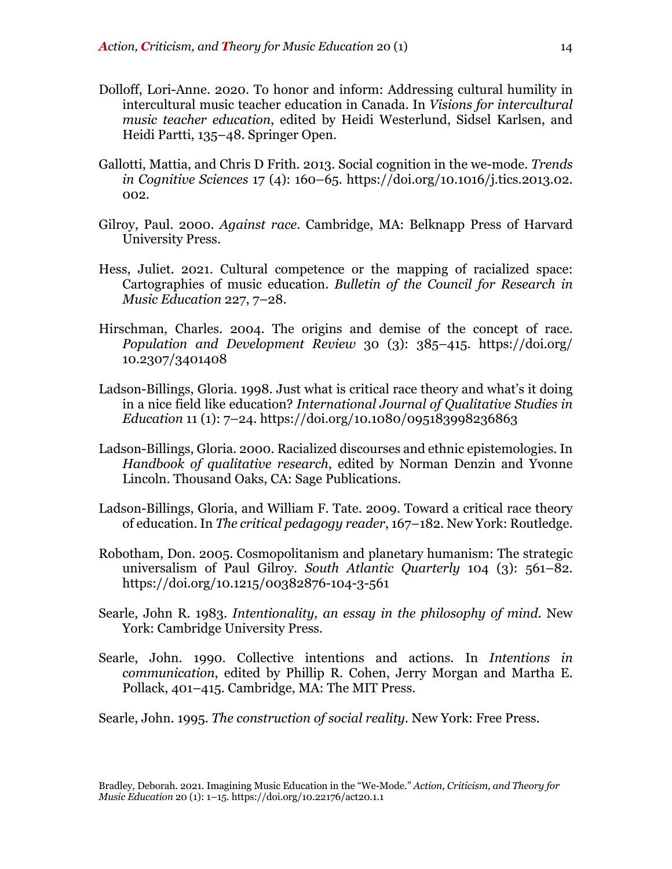- Dolloff, Lori-Anne. 2020. To honor and inform: Addressing cultural humility in intercultural music teacher education in Canada. In *Visions for intercultural music teacher education*, edited by Heidi Westerlund, Sidsel Karlsen, and Heidi Partti, 135–48. Springer Open.
- Gallotti, Mattia, and Chris D Frith. 2013. Social cognition in the we-mode. *Trends in Cognitive Sciences* 17 (4): 160–65. https://doi.org/10.1016/j.tics.2013.02. 002.
- Gilroy, Paul. 2000. *Against race*. Cambridge, MA: Belknapp Press of Harvard University Press.
- Hess, Juliet. 2021. Cultural competence or the mapping of racialized space: Cartographies of music education. *Bulletin of the Council for Research in Music Education* 227, 7–28.
- Hirschman, Charles. 2004. The origins and demise of the concept of race. *Population and Development Review* 30 (3): 385–415. https://doi.org/ 10.2307/3401408
- Ladson-Billings, Gloria. 1998. Just what is critical race theory and what's it doing in a nice field like education? *International Journal of Qualitative Studies in Education* 11 (1): 7–24. https://doi.org/10.1080/095183998236863
- Ladson-Billings, Gloria. 2000. Racialized discourses and ethnic epistemologies. In *Handbook of qualitative research*, edited by Norman Denzin and Yvonne Lincoln. Thousand Oaks, CA: Sage Publications.
- Ladson-Billings, Gloria, and William F. Tate. 2009. Toward a critical race theory of education. In *The critical pedagogy reader*, 167–182. New York: Routledge.
- Robotham, Don. 2005. Cosmopolitanism and planetary humanism: The strategic universalism of Paul Gilroy. *South Atlantic Quarterly* 104 (3): 561–82. https://doi.org/10.1215/00382876-104-3-561
- Searle, John R. 1983. *Intentionality, an essay in the philosophy of mind*. New York: Cambridge University Press.
- Searle, John. 1990. Collective intentions and actions. In *Intentions in communication*, edited by Phillip R. Cohen, Jerry Morgan and Martha E. Pollack, 401–415. Cambridge, MA: The MIT Press.

Searle, John. 1995. *The construction of social reality*. New York: Free Press.